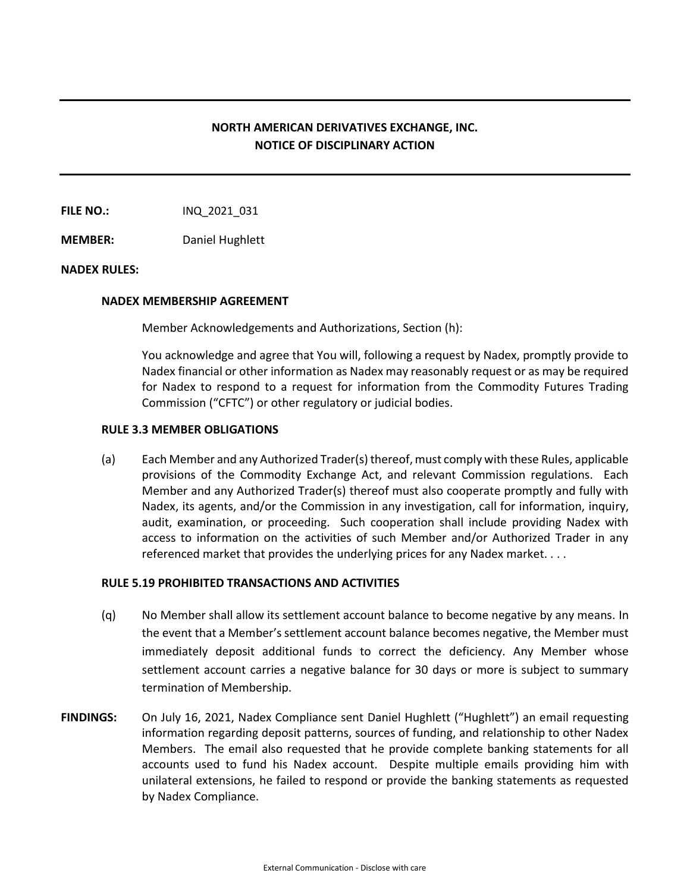# **NORTH AMERICAN DERIVATIVES EXCHANGE, INC. NOTICE OF DISCIPLINARY ACTION**

**FILE NO.:** INQ 2021 031

**MEMBER:** Daniel Hughlett

#### **NADEX RULES:**

#### **NADEX MEMBERSHIP AGREEMENT**

Member Acknowledgements and Authorizations, Section (h):

You acknowledge and agree that You will, following a request by Nadex, promptly provide to Nadex financial or other information as Nadex may reasonably request or as may be required for Nadex to respond to a request for information from the Commodity Futures Trading Commission ("CFTC") or other regulatory or judicial bodies.

### **RULE 3.3 MEMBER OBLIGATIONS**

(a) Each Member and any Authorized Trader(s) thereof, must comply with these Rules, applicable provisions of the Commodity Exchange Act, and relevant Commission regulations. Each Member and any Authorized Trader(s) thereof must also cooperate promptly and fully with Nadex, its agents, and/or the Commission in any investigation, call for information, inquiry, audit, examination, or proceeding. Such cooperation shall include providing Nadex with access to information on the activities of such Member and/or Authorized Trader in any referenced market that provides the underlying prices for any Nadex market. . . .

## **RULE 5.19 PROHIBITED TRANSACTIONS AND ACTIVITIES**

- (q) No Member shall allow its settlement account balance to become negative by any means. In the event that a Member's settlement account balance becomes negative, the Member must immediately deposit additional funds to correct the deficiency. Any Member whose settlement account carries a negative balance for 30 days or more is subject to summary termination of Membership.
- **FINDINGS:** On July 16, 2021, Nadex Compliance sent Daniel Hughlett ("Hughlett") an email requesting information regarding deposit patterns, sources of funding, and relationship to other Nadex Members. The email also requested that he provide complete banking statements for all accounts used to fund his Nadex account. Despite multiple emails providing him with unilateral extensions, he failed to respond or provide the banking statements as requested by Nadex Compliance.